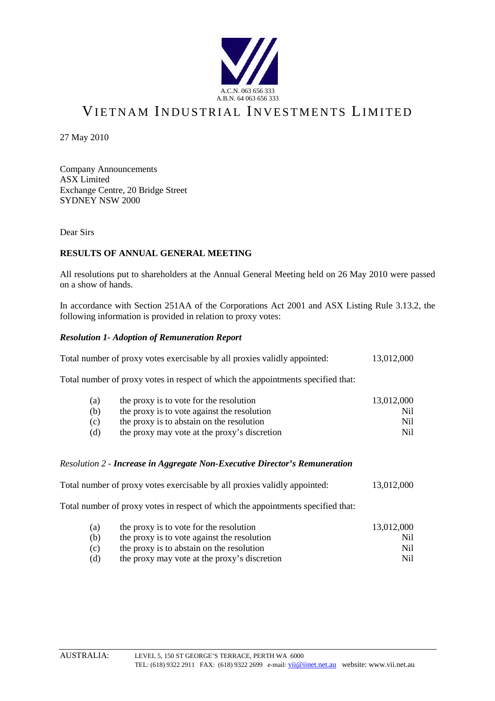

# VIETNAM INDUSTRIAL INVESTMENTS LIMITED

27 May 2010

Company Announcements ASX Limited Exchange Centre, 20 Bridge Street SYDNEY NSW 2000

Dear Sirs

## **RESULTS OF ANNUAL GENERAL MEETING**

All resolutions put to shareholders at the Annual General Meeting held on 26 May 2010 were passed on a show of hands.

In accordance with Section 251AA of the Corporations Act 2001 and ASX Listing Rule 3.13.2, the following information is provided in relation to proxy votes:

#### *Resolution 1- Adoption of Remuneration Report*

|  |  | Total number of proxy votes exercisable by all proxies validly appointed: |  |  | 13,012,000 |
|--|--|---------------------------------------------------------------------------|--|--|------------|
|--|--|---------------------------------------------------------------------------|--|--|------------|

Total number of proxy votes in respect of which the appointments specified that:

| (a) | the proxy is to vote for the resolution      | 13.012.000 |
|-----|----------------------------------------------|------------|
| (b) | the proxy is to vote against the resolution  | Ni1        |
| (c) | the proxy is to abstain on the resolution    | Nil.       |
| (d) | the proxy may vote at the proxy's discretion | Nil.       |

#### *Resolution 2 - Increase in Aggregate Non-Executive Director's Remuneration*

| Total number of proxy votes exercisable by all proxies validly appointed: |  |  |  |  |  |  | 13,012,000 |
|---------------------------------------------------------------------------|--|--|--|--|--|--|------------|
| $\mathbf{m}$ . 1                                                          |  |  |  |  |  |  |            |

Total number of proxy votes in respect of which the appointments specified that:

| (a) | the proxy is to vote for the resolution      | 13,012,000 |
|-----|----------------------------------------------|------------|
| (b) | the proxy is to vote against the resolution  | Ni1        |
| (c) | the proxy is to abstain on the resolution    | Nil.       |
| (d) | the proxy may vote at the proxy's discretion | Ni1        |